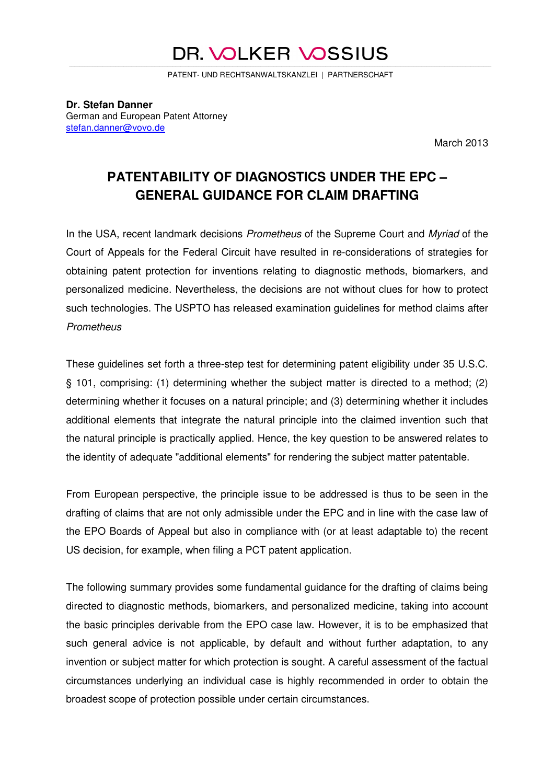#### DR. VOLKER VOSSIUS \_\_\_\_\_\_\_\_\_\_\_\_\_\_\_\_\_\_\_\_\_\_\_\_\_\_\_\_\_\_\_\_\_\_\_\_\_\_\_\_\_\_\_\_\_\_\_\_\_\_\_\_\_\_\_\_\_\_\_\_\_\_\_\_\_\_\_\_\_\_\_\_\_\_\_\_\_\_\_\_\_\_\_\_\_\_\_\_\_\_\_\_\_\_\_\_\_\_\_\_\_\_\_\_\_\_\_\_\_\_\_\_\_\_\_\_\_\_\_\_\_\_\_\_\_\_\_\_\_\_\_\_\_\_\_\_\_\_\_\_\_\_\_\_\_\_\_\_\_\_\_\_\_\_\_\_\_\_\_\_\_\_\_

PATENT- UND RECHTSANWALTSKANZLEI | PARTNERSCHAFT

**Dr. Stefan Danner**  German and European Patent Attorney stefan.danner@vovo.de

March 2013

# **PATENTABILITY OF DIAGNOSTICS UNDER THE EPC – GENERAL GUIDANCE FOR CLAIM DRAFTING**

In the USA, recent landmark decisions *Prometheus* of the Supreme Court and *Myriad* of the Court of Appeals for the Federal Circuit have resulted in re-considerations of strategies for obtaining patent protection for inventions relating to diagnostic methods, biomarkers, and personalized medicine. Nevertheless, the decisions are not without clues for how to protect such technologies. The USPTO has released examination guidelines for method claims after *Prometheus*

These guidelines set forth a three-step test for determining patent eligibility under 35 U.S.C. § 101, comprising: (1) determining whether the subject matter is directed to a method; (2) determining whether it focuses on a natural principle; and (3) determining whether it includes additional elements that integrate the natural principle into the claimed invention such that the natural principle is practically applied. Hence, the key question to be answered relates to the identity of adequate "additional elements" for rendering the subject matter patentable.

From European perspective, the principle issue to be addressed is thus to be seen in the drafting of claims that are not only admissible under the EPC and in line with the case law of the EPO Boards of Appeal but also in compliance with (or at least adaptable to) the recent US decision, for example, when filing a PCT patent application.

The following summary provides some fundamental guidance for the drafting of claims being directed to diagnostic methods, biomarkers, and personalized medicine, taking into account the basic principles derivable from the EPO case law. However, it is to be emphasized that such general advice is not applicable, by default and without further adaptation, to any invention or subject matter for which protection is sought. A careful assessment of the factual circumstances underlying an individual case is highly recommended in order to obtain the broadest scope of protection possible under certain circumstances.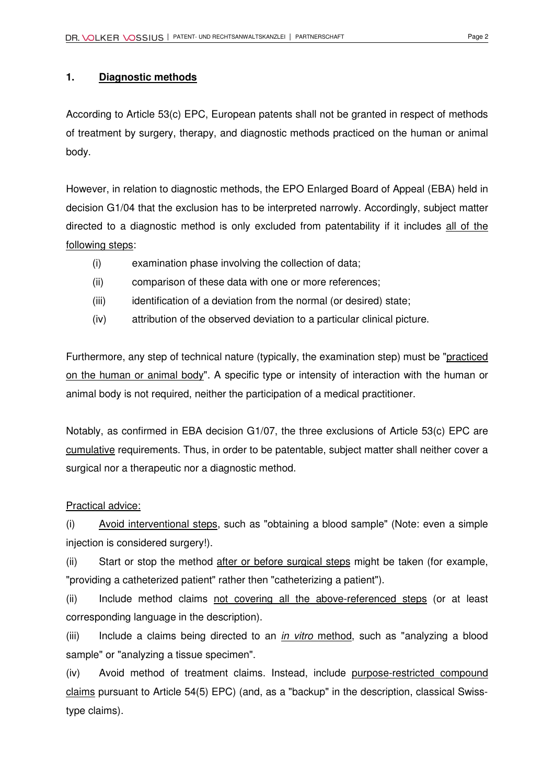## **1. Diagnostic methods**

According to Article 53(c) EPC, European patents shall not be granted in respect of methods of treatment by surgery, therapy, and diagnostic methods practiced on the human or animal body.

However, in relation to diagnostic methods, the EPO Enlarged Board of Appeal (EBA) held in decision G1/04 that the exclusion has to be interpreted narrowly. Accordingly, subject matter directed to a diagnostic method is only excluded from patentability if it includes all of the following steps:

- (i) examination phase involving the collection of data;
- (ii) comparison of these data with one or more references;
- (iii) identification of a deviation from the normal (or desired) state;
- (iv) attribution of the observed deviation to a particular clinical picture.

Furthermore, any step of technical nature (typically, the examination step) must be "practiced on the human or animal body". A specific type or intensity of interaction with the human or animal body is not required, neither the participation of a medical practitioner.

Notably, as confirmed in EBA decision G1/07, the three exclusions of Article 53(c) EPC are cumulative requirements. Thus, in order to be patentable, subject matter shall neither cover a surgical nor a therapeutic nor a diagnostic method.

## Practical advice:

(i) Avoid interventional steps, such as "obtaining a blood sample" (Note: even a simple injection is considered surgery!).

(ii) Start or stop the method after or before surgical steps might be taken (for example, "providing a catheterized patient" rather then "catheterizing a patient").

(ii) Include method claims not covering all the above-referenced steps (or at least corresponding language in the description).

(iii) Include a claims being directed to an *in vitro* method, such as "analyzing a blood sample" or "analyzing a tissue specimen".

(iv) Avoid method of treatment claims. Instead, include purpose-restricted compound claims pursuant to Article 54(5) EPC) (and, as a "backup" in the description, classical Swisstype claims).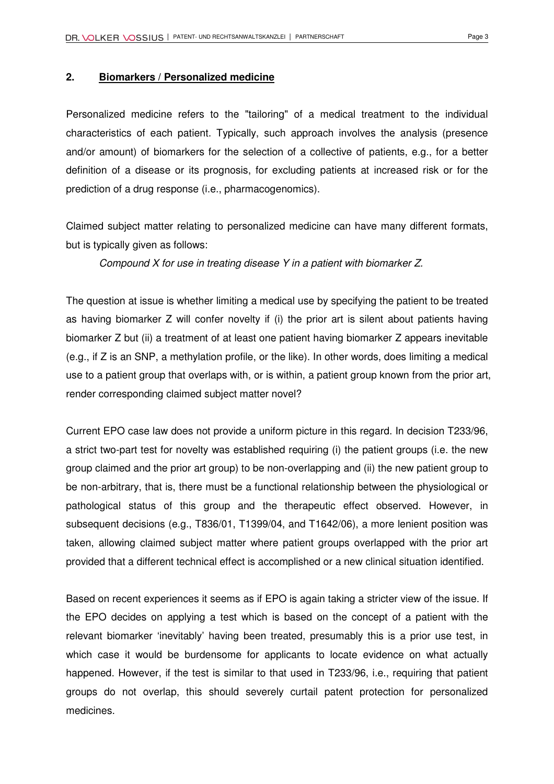## **2. Biomarkers / Personalized medicine**

Personalized medicine refers to the "tailoring" of a medical treatment to the individual characteristics of each patient. Typically, such approach involves the analysis (presence and/or amount) of biomarkers for the selection of a collective of patients, e.g., for a better definition of a disease or its prognosis, for excluding patients at increased risk or for the prediction of a drug response (i.e., pharmacogenomics).

Claimed subject matter relating to personalized medicine can have many different formats, but is typically given as follows:

*Compound X for use in treating disease Y in a patient with biomarker Z.* 

The question at issue is whether limiting a medical use by specifying the patient to be treated as having biomarker Z will confer novelty if (i) the prior art is silent about patients having biomarker Z but (ii) a treatment of at least one patient having biomarker Z appears inevitable (e.g., if Z is an SNP, a methylation profile, or the like). In other words, does limiting a medical use to a patient group that overlaps with, or is within, a patient group known from the prior art, render corresponding claimed subject matter novel?

Current EPO case law does not provide a uniform picture in this regard. In decision T233/96, a strict two-part test for novelty was established requiring (i) the patient groups (i.e. the new group claimed and the prior art group) to be non-overlapping and (ii) the new patient group to be non-arbitrary, that is, there must be a functional relationship between the physiological or pathological status of this group and the therapeutic effect observed. However, in subsequent decisions (e.g., T836/01, T1399/04, and T1642/06), a more lenient position was taken, allowing claimed subject matter where patient groups overlapped with the prior art provided that a different technical effect is accomplished or a new clinical situation identified.

Based on recent experiences it seems as if EPO is again taking a stricter view of the issue. If the EPO decides on applying a test which is based on the concept of a patient with the relevant biomarker 'inevitably' having been treated, presumably this is a prior use test, in which case it would be burdensome for applicants to locate evidence on what actually happened. However, if the test is similar to that used in T233/96, i.e., requiring that patient groups do not overlap, this should severely curtail patent protection for personalized medicines.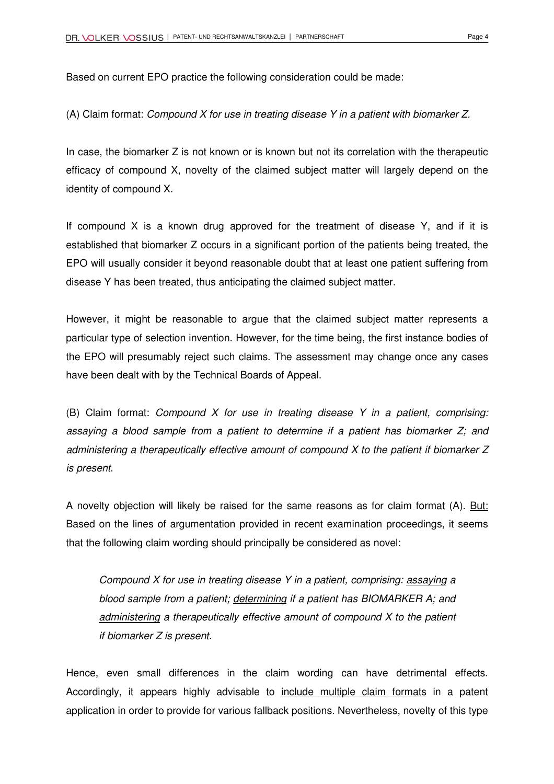Based on current EPO practice the following consideration could be made:

(A) Claim format: *Compound X for use in treating disease Y in a patient with biomarker Z.*

In case, the biomarker Z is not known or is known but not its correlation with the therapeutic efficacy of compound X, novelty of the claimed subject matter will largely depend on the identity of compound X.

If compound X is a known drug approved for the treatment of disease Y, and if it is established that biomarker Z occurs in a significant portion of the patients being treated, the EPO will usually consider it beyond reasonable doubt that at least one patient suffering from disease Y has been treated, thus anticipating the claimed subject matter.

However, it might be reasonable to argue that the claimed subject matter represents a particular type of selection invention. However, for the time being, the first instance bodies of the EPO will presumably reject such claims. The assessment may change once any cases have been dealt with by the Technical Boards of Appeal.

(B) Claim format: *Compound X for use in treating disease Y in a patient, comprising: assaying a blood sample from a patient to determine if a patient has biomarker Z; and administering a therapeutically effective amount of compound X to the patient if biomarker Z is present*.

A novelty objection will likely be raised for the same reasons as for claim format (A). But: Based on the lines of argumentation provided in recent examination proceedings, it seems that the following claim wording should principally be considered as novel:

*Compound X for use in treating disease Y in a patient, comprising: assaying a blood sample from a patient; determining if a patient has BIOMARKER A; and administering a therapeutically effective amount of compound X to the patient if biomarker Z is present.* 

Hence, even small differences in the claim wording can have detrimental effects. Accordingly, it appears highly advisable to include multiple claim formats in a patent application in order to provide for various fallback positions. Nevertheless, novelty of this type